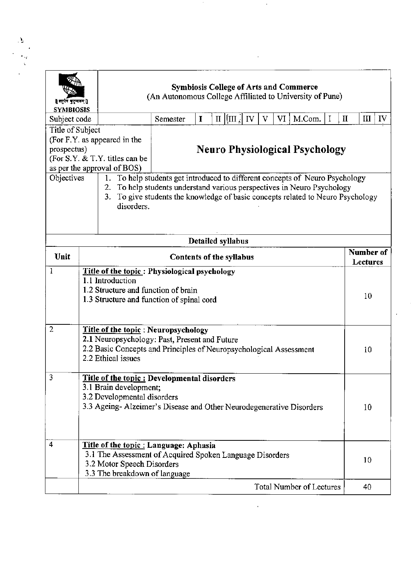| ॥ ग्सुर्पण पुद्र्म्यकम् ॥<br><b>SYMBIOSIS</b>                                                                                    |                                                                                                                                                                                                                                                                                          | <b>Symbiosis College of Arts and Commerce</b><br>(An Autonomous College Affiliated to University of Pune)                                                                                                                         |             |  |  |                                 |   |    |                       |        |   |             |          |    |
|----------------------------------------------------------------------------------------------------------------------------------|------------------------------------------------------------------------------------------------------------------------------------------------------------------------------------------------------------------------------------------------------------------------------------------|-----------------------------------------------------------------------------------------------------------------------------------------------------------------------------------------------------------------------------------|-------------|--|--|---------------------------------|---|----|-----------------------|--------|---|-------------|----------|----|
| Subject code                                                                                                                     |                                                                                                                                                                                                                                                                                          | Semester                                                                                                                                                                                                                          | $\mathbf I$ |  |  | $\text{II}$   $\text{III}$   IV | v | VI |                       | M.Com. | I | $\mathbf H$ | III      | IV |
| Title of Subject<br>(For F.Y. as appeared in the<br>prospectus)<br>(For S.Y. & T.Y. titles can be<br>as per the approval of BOS) |                                                                                                                                                                                                                                                                                          | <b>Neuro Physiological Psychology</b>                                                                                                                                                                                             |             |  |  |                                 |   |    |                       |        |   |             |          |    |
| Objectives                                                                                                                       | 1.<br>2.<br>3.<br>disorders.                                                                                                                                                                                                                                                             | To help students get introduced to different concepts of Neuro Psychology<br>To help students understand various perspectives in Neuro Psychology<br>To give students the knowledge of basic concepts related to Neuro Psychology |             |  |  |                                 |   |    |                       |        |   |             |          |    |
|                                                                                                                                  |                                                                                                                                                                                                                                                                                          |                                                                                                                                                                                                                                   |             |  |  | Detailed syllabus               |   |    |                       |        |   |             |          |    |
| Unit                                                                                                                             |                                                                                                                                                                                                                                                                                          | Contents of the syllabus                                                                                                                                                                                                          |             |  |  |                                 |   |    | Number of<br>Lectures |        |   |             |          |    |
| $\overline{2}$                                                                                                                   | 1.1 Introduction<br>1.2 Structure and function of brain<br>1.3 Structure and function of spinal cord<br>Title of the topic: Neuropsychology<br>2.1 Neuropsychology: Past, Present and Future<br>2.2 Basic Concepts and Principles of Neuropsychological Assessment<br>2.2 Ethical issues |                                                                                                                                                                                                                                   |             |  |  |                                 |   |    |                       |        |   |             | 10<br>10 |    |
|                                                                                                                                  | Title of the topic: Developmental disorders<br>3.1 Brain development;<br>3.2 Developmental disorders<br>3.3 Ageing-Alzeimer's Disease and Other Neurodegenerative Disorders                                                                                                              |                                                                                                                                                                                                                                   |             |  |  |                                 |   |    |                       |        |   |             |          |    |
| 3                                                                                                                                |                                                                                                                                                                                                                                                                                          |                                                                                                                                                                                                                                   |             |  |  |                                 |   |    |                       |        |   |             | 10       |    |
| 4                                                                                                                                | Title of the topic : Language: Aphasia<br>3.1 The Assessment of Acquired Spoken Language Disorders<br>3.2 Motor Speech Disorders<br>3.3 The breakdown of language                                                                                                                        |                                                                                                                                                                                                                                   |             |  |  |                                 |   |    |                       |        |   |             | 10       |    |

 $\mathcal{O}(\mathcal{O}_\mathcal{O})$  . The set of  $\mathcal{O}_\mathcal{O}(\mathcal{O}_\mathcal{O})$ 

 $\begin{array}{c}\Delta_1 \\ \vdots \\ \Delta_n \\ \vdots \\ \Delta_n \end{array}$ 

 $\mathcal{L}_{\text{max}}$  and  $\mathcal{L}_{\text{max}}$ 

 $\label{eq:2.1} \frac{1}{\sqrt{2}}\int_{\mathbb{R}^3}\frac{1}{\sqrt{2}}\left(\frac{1}{\sqrt{2}}\right)^2\frac{1}{\sqrt{2}}\left(\frac{1}{\sqrt{2}}\right)^2\frac{1}{\sqrt{2}}\left(\frac{1}{\sqrt{2}}\right)^2\frac{1}{\sqrt{2}}\left(\frac{1}{\sqrt{2}}\right)^2\frac{1}{\sqrt{2}}\left(\frac{1}{\sqrt{2}}\right)^2\frac{1}{\sqrt{2}}\frac{1}{\sqrt{2}}\frac{1}{\sqrt{2}}\frac{1}{\sqrt{2}}\frac{1}{\sqrt{2}}\frac{1}{\sqrt{2}}$